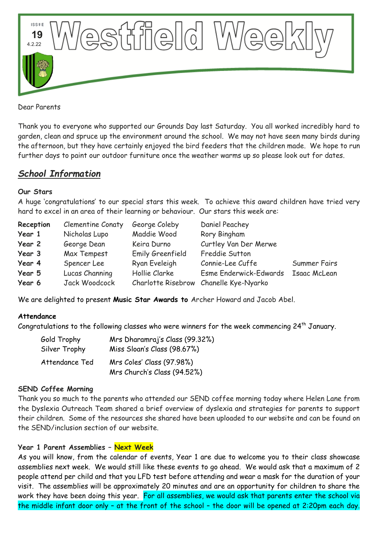

Dear Parents

Thank you to everyone who supported our Grounds Day last Saturday. You all worked incredibly hard to garden, clean and spruce up the environment around the school. We may not have seen many birds during the afternoon, but they have certainly enjoyed the bird feeders that the children made. We hope to run further days to paint our outdoor furniture once the weather warms up so please look out for dates.

# *School Information*

#### **Our Stars**

A huge 'congratulations' to our special stars this week. To achieve this award children have tried very hard to excel in an area of their learning or behaviour. Our stars this week are:

| Reception | Clementine Conaty | George Coleby    | Daniel Peachey                         |              |
|-----------|-------------------|------------------|----------------------------------------|--------------|
| Year 1    | Nicholas Lupo     | Maddie Wood      | Rory Bingham                           |              |
| Year 2    | George Dean       | Keira Durno      | Curtley Van Der Merwe                  |              |
| Year 3    | Max Tempest       | Emily Greenfield | Freddie Sutton                         |              |
| Year 4    | Spencer Lee       | Ryan Eveleigh    | Connie-Lee Cuffe                       | Summer Fairs |
| Year 5    | Lucas Channing    | Hollie Clarke    | Esme Enderwick-Edwards                 | Isaac McLean |
| Year 6    | Jack Woodcock     |                  | Charlotte Risebrow Chanelle Kye-Nyarko |              |

We are delighted to present **Music Star Awards to** Archer Howard and Jacob Abel.

### **Attendance**

Congratulations to the following classes who were winners for the week commencing  $24^{th}$  January.

| Gold Trophy    | Mrs Dharamraj's Class (99.32%) |  |  |
|----------------|--------------------------------|--|--|
| Silver Trophy  | Miss Sloan's Class (98.67%)    |  |  |
| Attendance Ted | Mrs Coles' Class (97.98%)      |  |  |
|                | Mrs Church's Class (94.52%)    |  |  |

#### **SEND Coffee Morning**

Thank you so much to the parents who attended our SEND coffee morning today where Helen Lane from the Dyslexia Outreach Team shared a brief overview of dyslexia and strategies for parents to support their children. Some of the resources she shared have been uploaded to our website and can be found on the SEND/inclusion section of our website.

### **Year 1 Parent Assemblies – Next Week**

As you will know, from the calendar of events, Year 1 are due to welcome you to their class showcase assemblies next week. We would still like these events to go ahead. We would ask that a maximum of 2 people attend per child and that you LFD test before attending and wear a mask for the duration of your visit. The assemblies will be approximately 20 minutes and are an opportunity for children to share the work they have been doing this year. For all assemblies, we would ask that parents enter the school via the middle infant door only – at the front of the school – the door will be opened at 2:20pm each day.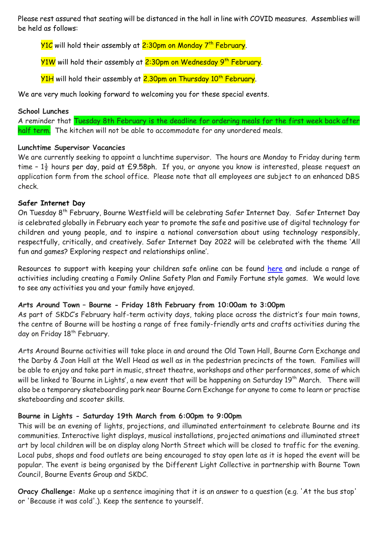Please rest assured that seating will be distanced in the hall in line with COVID measures. Assemblies will be held as follows:

<mark>Y1C</mark> will hold their assembly at <mark>2:30pm on Monday 7<sup>th</sup> February</mark>.

Y1W will hold their assembly at 2:30pm on Wednesday 9<sup>th</sup> February.

Y1H will hold their assembly at 2.30pm on Thursday 10<sup>th</sup> February.

We are very much looking forward to welcoming you for these special events.

#### **School Lunches**

A reminder that Tuesday 8th February is the deadline for ordering meals for the first week back after half term. The kitchen will not be able to accommodate for any unordered meals.

### **Lunchtime Supervisor Vacancies**

We are currently seeking to appoint a lunchtime supervisor. The hours are Monday to Friday during term time -  $1\frac{1}{2}$  hours per day, paid at £9.58ph. If you, or anyone you know is interested, please request an application form from the school office. Please note that all employees are subject to an enhanced DBS check.

### **Safer Internet Day**

On Tuesday 8th February, Bourne Westfield will be celebrating Safer Internet Day. Safer Internet Day is celebrated globally in February each year to promote the safe and positive use of digital technology for children and young people, and to inspire a national conversation about using technology responsibly, respectfully, critically, and creatively. Safer Internet Day 2022 will be celebrated with the theme 'All fun and games? Exploring respect and relationships online'.

Resources to support with keeping your children safe online can be found [here](https://saferinternet.org.uk/safer-internet-day/safer-internet-day-2022/advice-for-parents-and-carers) and include a range of activities including creating a Family Online Safety Plan and Family Fortune style games. We would love to see any activities you and your family have enjoyed.

### **Arts Around Town – Bourne - Friday 18th February from 10:00am to 3:00pm**

As part of SKDC's February half-term activity days, taking place across the district's four main towns, the centre of Bourne will be hosting a range of free family-friendly arts and crafts activities during the day on Friday 18<sup>th</sup> February.

Arts Around Bourne activities will take place in and around the Old Town Hall, Bourne Corn Exchange and the Darby & Joan Hall at the Well Head as well as in the pedestrian precincts of the town. Families will be able to enjoy and take part in music, street theatre, workshops and other performances, some of which will be linked to 'Bourne in Lights', a new event that will be happening on Saturday 19<sup>th</sup> March. There will also be a temporary skateboarding park near Bourne Corn Exchange for anyone to come to learn or practise skateboarding and scooter skills.

### **Bourne in Lights - Saturday 19th March from 6:00pm to 9:00pm**

This will be an evening of lights, projections, and illuminated entertainment to celebrate Bourne and its communities. Interactive light displays, musical installations, projected animations and illuminated street art by local children will be on display along North Street which will be closed to traffic for the evening. Local pubs, shops and food outlets are being encouraged to stay open late as it is hoped the event will be popular. The event is being organised by the Different Light Collective in partnership with Bourne Town Council, Bourne Events Group and SKDC.

**Oracy Challenge:** Make up a sentence imagining that it is an answer to a question (e.g. 'At the bus stop' or 'Because it was cold'.). Keep the sentence to yourself.